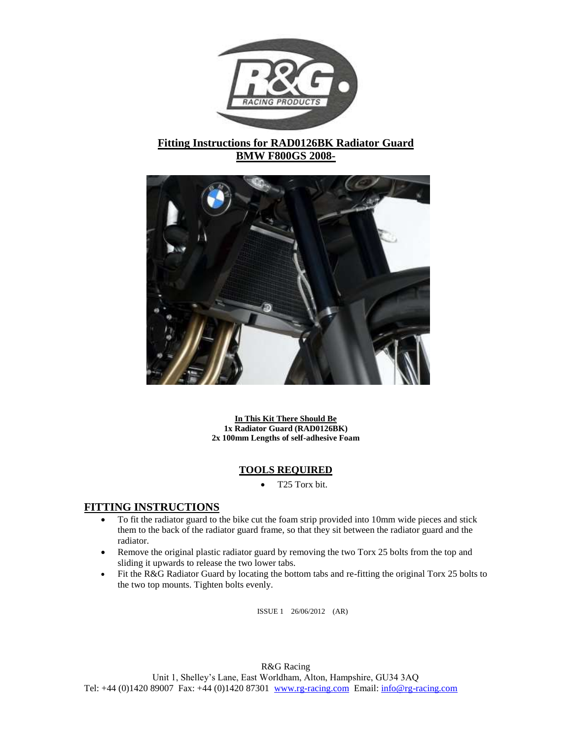

# **Fitting Instructions for RAD0126BK Radiator Guard BMW F800GS 2008-**



**In This Kit There Should Be 1x Radiator Guard (RAD0126BK) 2x 100mm Lengths of self-adhesive Foam**

## **TOOLS REQUIRED**

T25 Torx bit.

## **FITTING INSTRUCTIONS**

- To fit the radiator guard to the bike cut the foam strip provided into 10mm wide pieces and stick them to the back of the radiator guard frame, so that they sit between the radiator guard and the radiator.
- Remove the original plastic radiator guard by removing the two Torx 25 bolts from the top and sliding it upwards to release the two lower tabs.
- Fit the R&G Radiator Guard by locating the bottom tabs and re-fitting the original Torx 25 bolts to the two top mounts. Tighten bolts evenly.

ISSUE 1 26/06/2012 (AR)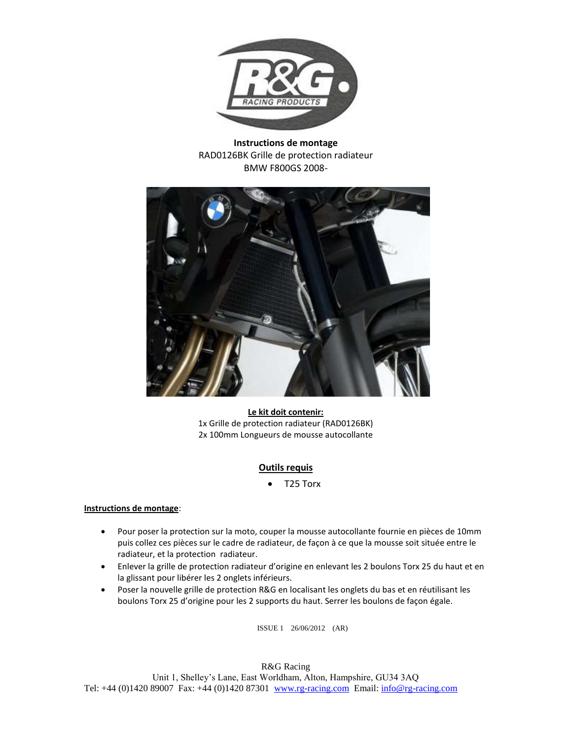

**Instructions de montage** RAD0126BK Grille de protection radiateur BMW F800GS 2008-



**Le kit doit contenir:** 1x Grille de protection radiateur (RAD0126BK) 2x 100mm Longueurs de mousse autocollante

## **Outils requis**

T25 Torx

### **Instructions de montage**:

- Pour poser la protection sur la moto, couper la mousse autocollante fournie en pièces de 10mm puis collez ces pièces sur le cadre de radiateur, de façon à ce que la mousse soit située entre le radiateur, et la protection radiateur.
- Enlever la grille de protection radiateur d'origine en enlevant les 2 boulons Torx 25 du haut et en la glissant pour libérer les 2 onglets inférieurs.
- Poser la nouvelle grille de protection R&G en localisant les onglets du bas et en réutilisant les boulons Torx 25 d'origine pour les 2 supports du haut. Serrer les boulons de façon égale.

ISSUE 1 26/06/2012 (AR)

R&G Racing Unit 1, Shelley's Lane, East Worldham, Alton, Hampshire, GU34 3AQ Tel: +44 (0)1420 89007 Fax: +44 (0)1420 87301 [www.rg-racing.com](http://www.rg-racing.com/) Email: [info@rg-racing.com](mailto:info@rg-racing.com)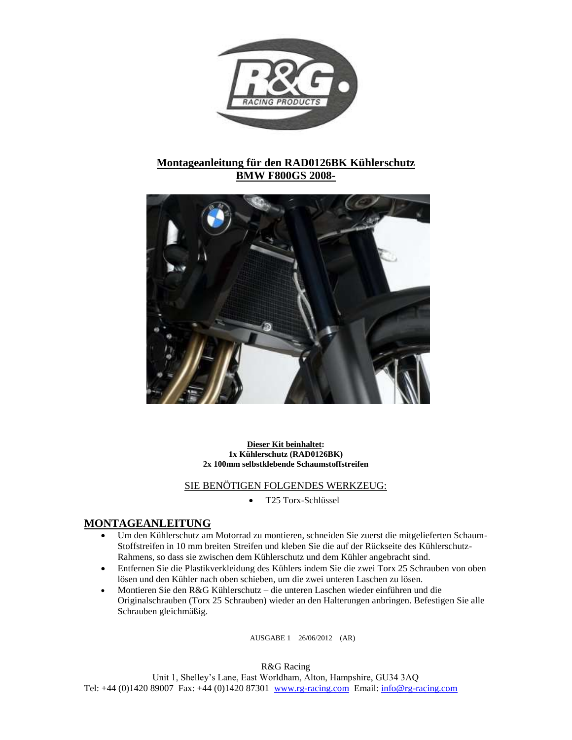

# **Montageanleitung für den RAD0126BK Kühlerschutz BMW F800GS 2008-**



**Dieser Kit beinhaltet: 1x Kühlerschutz (RAD0126BK) 2x 100mm selbstklebende Schaumstoffstreifen** 

## SIE BENÖTIGEN FOLGENDES WERKZEUG:

T25 Torx-Schlüssel

## **MONTAGEANLEITUNG**

- Um den Kühlerschutz am Motorrad zu montieren, schneiden Sie zuerst die mitgelieferten Schaum-Stoffstreifen in 10 mm breiten Streifen und kleben Sie die auf der Rückseite des Kühlerschutz-Rahmens, so dass sie zwischen dem Kühlerschutz und dem Kühler angebracht sind.
- Entfernen Sie die Plastikverkleidung des Kühlers indem Sie die zwei Torx 25 Schrauben von oben lösen und den Kühler nach oben schieben, um die zwei unteren Laschen zu lösen.
- Montieren Sie den R&G Kühlerschutz die unteren Laschen wieder einführen und die Originalschrauben (Torx 25 Schrauben) wieder an den Halterungen anbringen. Befestigen Sie alle Schrauben gleichmäßig.

AUSGABE 1 26/06/2012 (AR)

R&G Racing

Unit 1, Shelley's Lane, East Worldham, Alton, Hampshire, GU34 3AQ Tel: +44 (0)1420 89007 Fax: +44 (0)1420 87301 [www.rg-racing.com](http://www.rg-racing.com/) Email: [info@rg-racing.com](mailto:info@rg-racing.com)